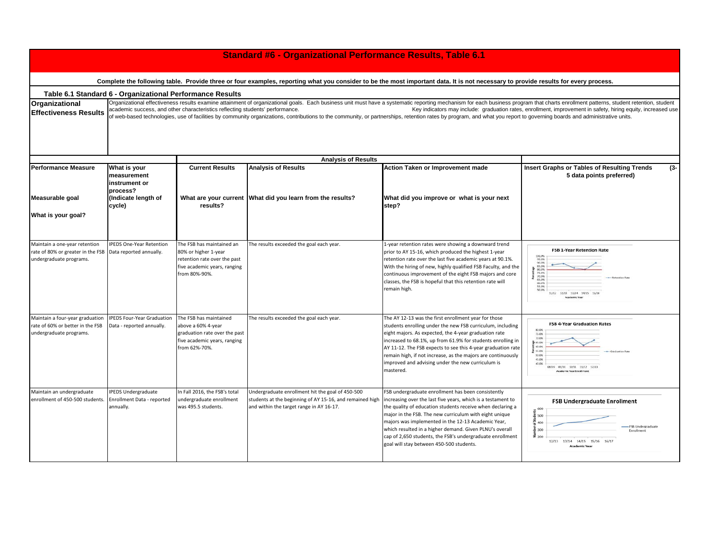| <b>Standard #6 - Organizational Performance Results, Table 6.1</b>                                                                                                                 |                                                                                                                                                                                                                                                                                                                                                                                                                                                                                                                                                                                                                                                             |                                                                                                                                    |                                                                                                                                                          |                                                                                                                                                                                                                                                                                                                                                                                                                                                                      |                                                                                                                                                                                                           |  |  |  |  |  |
|------------------------------------------------------------------------------------------------------------------------------------------------------------------------------------|-------------------------------------------------------------------------------------------------------------------------------------------------------------------------------------------------------------------------------------------------------------------------------------------------------------------------------------------------------------------------------------------------------------------------------------------------------------------------------------------------------------------------------------------------------------------------------------------------------------------------------------------------------------|------------------------------------------------------------------------------------------------------------------------------------|----------------------------------------------------------------------------------------------------------------------------------------------------------|----------------------------------------------------------------------------------------------------------------------------------------------------------------------------------------------------------------------------------------------------------------------------------------------------------------------------------------------------------------------------------------------------------------------------------------------------------------------|-----------------------------------------------------------------------------------------------------------------------------------------------------------------------------------------------------------|--|--|--|--|--|
| Complete the following table. Provide three or four examples, reporting what you consider to be the most important data. It is not necessary to provide results for every process. |                                                                                                                                                                                                                                                                                                                                                                                                                                                                                                                                                                                                                                                             |                                                                                                                                    |                                                                                                                                                          |                                                                                                                                                                                                                                                                                                                                                                                                                                                                      |                                                                                                                                                                                                           |  |  |  |  |  |
| Table 6.1 Standard 6 - Organizational Performance Results                                                                                                                          |                                                                                                                                                                                                                                                                                                                                                                                                                                                                                                                                                                                                                                                             |                                                                                                                                    |                                                                                                                                                          |                                                                                                                                                                                                                                                                                                                                                                                                                                                                      |                                                                                                                                                                                                           |  |  |  |  |  |
| Organizational<br><b>Effectiveness Results</b>                                                                                                                                     | Organizational effectiveness results examine attainment of organizational goals. Each business unit must have a systematic reporting mechanism for each business program that charts enrollment patterns, student retention, s<br>academic success, and other characteristics reflecting students' performance.<br>Key indicators may include: graduation rates, enrollment, improvement in safety, hiring equity, increased use<br>of web-based technologies, use of facilities by community organizations, contributions to the community, or partnerships, retention rates by program, and what you report to governing boards and administrative units. |                                                                                                                                    |                                                                                                                                                          |                                                                                                                                                                                                                                                                                                                                                                                                                                                                      |                                                                                                                                                                                                           |  |  |  |  |  |
| <b>Analysis of Results</b>                                                                                                                                                         |                                                                                                                                                                                                                                                                                                                                                                                                                                                                                                                                                                                                                                                             |                                                                                                                                    |                                                                                                                                                          |                                                                                                                                                                                                                                                                                                                                                                                                                                                                      |                                                                                                                                                                                                           |  |  |  |  |  |
| <b>Performance Measure</b>                                                                                                                                                         | What is your<br>measurement<br>instrument or<br>process?                                                                                                                                                                                                                                                                                                                                                                                                                                                                                                                                                                                                    | <b>Current Results</b>                                                                                                             | <b>Analysis of Results</b>                                                                                                                               | Action Taken or Improvement made                                                                                                                                                                                                                                                                                                                                                                                                                                     | <b>Insert Graphs or Tables of Resulting Trends</b><br>$(3 -$<br>5 data points preferred)                                                                                                                  |  |  |  |  |  |
| Measurable goal                                                                                                                                                                    | (Indicate length of<br>cycle)                                                                                                                                                                                                                                                                                                                                                                                                                                                                                                                                                                                                                               | results?                                                                                                                           | What are your current What did you learn from the results?                                                                                               | What did you improve or what is your next<br>step?                                                                                                                                                                                                                                                                                                                                                                                                                   |                                                                                                                                                                                                           |  |  |  |  |  |
| What is your goal?                                                                                                                                                                 |                                                                                                                                                                                                                                                                                                                                                                                                                                                                                                                                                                                                                                                             |                                                                                                                                    |                                                                                                                                                          |                                                                                                                                                                                                                                                                                                                                                                                                                                                                      |                                                                                                                                                                                                           |  |  |  |  |  |
| Maintain a one-year retention<br>rate of 80% or greater in the FSB<br>undergraduate programs.                                                                                      | <b>IPEDS One-Year Retention</b><br>Data reported annually.                                                                                                                                                                                                                                                                                                                                                                                                                                                                                                                                                                                                  | The FSB has maintained an<br>80% or higher 1-year<br>retention rate over the past<br>five academic years, ranging<br>from 80%-90%. | The results exceeded the goal each year.                                                                                                                 | L-year retention rates were showing a downward trend<br>prior to AY 15-16, which produced the highest 1-year<br>retention rate over the last five academic years at 90.1%.<br>With the hiring of new, highly qualified FSB Faculty, and the<br>continuous improvement of the eight FSB majors and core<br>classes, the FSB is hopeful that this retention rate will<br>remain high.                                                                                  | <b>FSB 1-Year Retention Rate</b><br>95.0%<br>90.0%<br>85.0%<br>BOJ2N<br>20.0%<br>-Batenting Rate<br>00.0%<br>55.0%<br>50.0%<br>11/12 12/13 13/14 14/15 15/16                                              |  |  |  |  |  |
| Maintain a four-year graduation<br>rate of 60% or better in the FSB<br>undergraduate programs.                                                                                     | <b>IPEDS Four-Year Graduation</b><br>Data - reported annually.                                                                                                                                                                                                                                                                                                                                                                                                                                                                                                                                                                                              | The FSB has maintained<br>above a 60% 4-year<br>graduation rate over the past<br>five academic years, ranging<br>from 62%-70%.     | The results exceeded the goal each year.                                                                                                                 | The AY 12-13 was the first enrollment year for those<br>students enrolling under the new FSB curriculum, including<br>eight majors. As expected, the 4-year graduation rate<br>increased to 68.1%, up from 61.9% for students enrolling in<br>AY 11-12. The FSB expects to see this 4-year graduation rate<br>remain high, if not increase, as the majors are continuously<br>improved and advising under the new curriculum is<br>mastered.                         | <b>FSB 4-Year Graduation Rates</b><br>80.0%<br>75.0%<br>70.0%<br>$65.0\%$<br>60.0%<br>55.0%<br>- Clearly arise fiat<br>50.0%<br>45.0%<br>40.0%<br>08/09 09/10 10/11 11/12 12/13<br>cademic Year Enrollmer |  |  |  |  |  |
| Maintain an undergraduate<br>enrollment of 450-500 students.                                                                                                                       | <b>IPEDS Undergraduate</b><br>Enrollment Data - reported<br>annually.                                                                                                                                                                                                                                                                                                                                                                                                                                                                                                                                                                                       | In Fall 2016, the FSB's total<br>undergraduate enrollment<br>was 495.5 students.                                                   | Undergraduate enrollment hit the goal of 450-500<br>students at the beginning of AY 15-16, and remained high<br>and within the target range in AY 16-17. | FSB undergraduate enrollment has been consistently<br>increasing over the last five years, which is a testament to<br>the quality of education students receive when declaring a<br>major in the FSB. The new curriculum with eight unique<br>majors was implemented in the 12-13 Academic Year,<br>which resulted in a higher demand. Given PLNU's overall<br>cap of 2,650 students, the FSB's undergraduate enrollment<br>goal will stay between 450-500 students. | <b>FSB Undergraduate Enrollment</b><br>600<br>$\frac{1}{9}$ 500<br>400<br>-FSB Undergraduate<br>300<br>Enrollment<br>$\bar{z}$ 200<br>12/13 13/14 14/15 15/16 16/17<br>Academic Year                      |  |  |  |  |  |